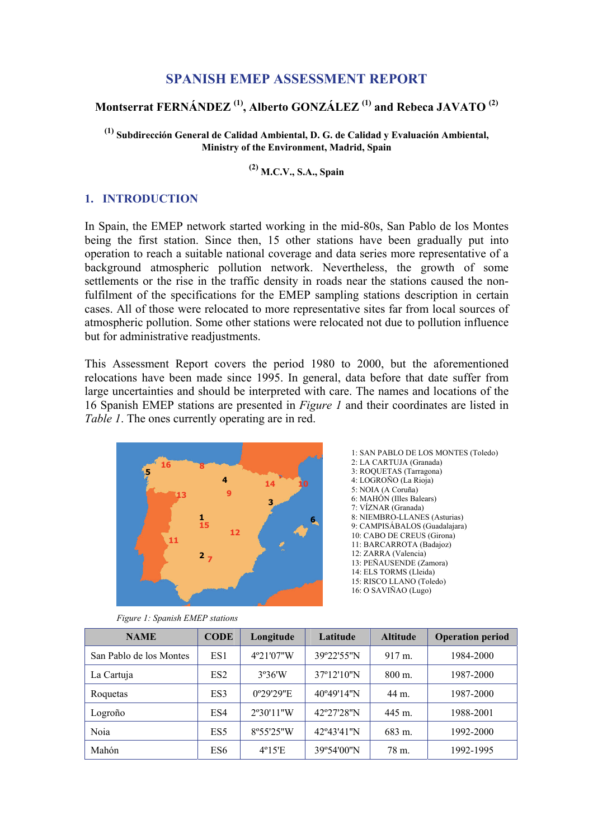## **SPANISH EMEP ASSESSMENT REPORT**

# **Montserrat FERNÁNDEZ (1), Alberto GONZÁLEZ (1) and Rebeca JAVATO (2)**

**(1) Subdirección General de Calidad Ambiental, D. G. de Calidad y Evaluación Ambiental, Ministry of the Environment, Madrid, Spain** 

## **(2) M.C.V., S.A., Spain**

#### **1. INTRODUCTION**

In Spain, the EMEP network started working in the mid-80s, San Pablo de los Montes being the first station. Since then, 15 other stations have been gradually put into operation to reach a suitable national coverage and data series more representative of a background atmospheric pollution network. Nevertheless, the growth of some settlements or the rise in the traffic density in roads near the stations caused the nonfulfilment of the specifications for the EMEP sampling stations description in certain cases. All of those were relocated to more representative sites far from local sources of atmospheric pollution. Some other stations were relocated not due to pollution influence but for administrative readjustments.

This Assessment Report covers the period 1980 to 2000, but the aforementioned relocations have been made since 1995. In general, data before that date suffer from large uncertainties and should be interpreted with care. The names and locations of the 16 Spanish EMEP stations are presented in *Figure 1* and their coordinates are listed in *Table 1*. The ones currently operating are in red.





1: SAN PABLO DE LOS MONTES (Toledo) 2: LA CARTUJA (Granada) 3: ROQUETAS (Tarragona) 4: LOGROÑO (La Rioja) 5: NOIA (A Coruña) 6: MAHÓN (Illes Balears) 7: VÍZNAR (Granada) 8: NIEMBRO-LLANES (Asturias) 9: CAMPISÁBALOS (Guadalajara) 10: CABO DE CREUS (Girona) 11: BARCARROTA (Badajoz) 12: ZARRA (Valencia) 13: PEÑAUSENDE (Zamora) 14: ELS TORMS (Lleida) 15: RISCO LLANO (Toledo) 16: O SAVIÑAO (Lugo)

| <b>NAME</b>             | <b>CODE</b>     | Longitude           | Latitude             | <b>Altitude</b>     | <b>Operation period</b> |
|-------------------------|-----------------|---------------------|----------------------|---------------------|-------------------------|
| San Pablo de los Montes | ES1             | $4^{\circ}21'07''W$ | 39°22'55"N           | $917 \text{ m}$ .   | 1984-2000               |
| La Cartuja              | ES <sub>2</sub> | 3°36'W              | 37°12'10"N           | $800 \; \text{m}$ . | 1987-2000               |
| Roquetas                | ES3             | $0^{\circ}29'29''E$ | $40^{\circ}49'14''N$ | 44 m.               | 1987-2000               |
| Logroño                 | ES4             | $2^{\circ}30'11''W$ | 42°27'28"N           | 445 m.              | 1988-2001               |
| Noia                    | ES <sub>5</sub> | $8^{\circ}55'25''W$ | 42°43'41"N           | 683 m.              | 1992-2000               |
| Mahón                   | ES6             | $4^{\circ}15'E$     | 39°54'00"N           | 78 m.               | 1992-1995               |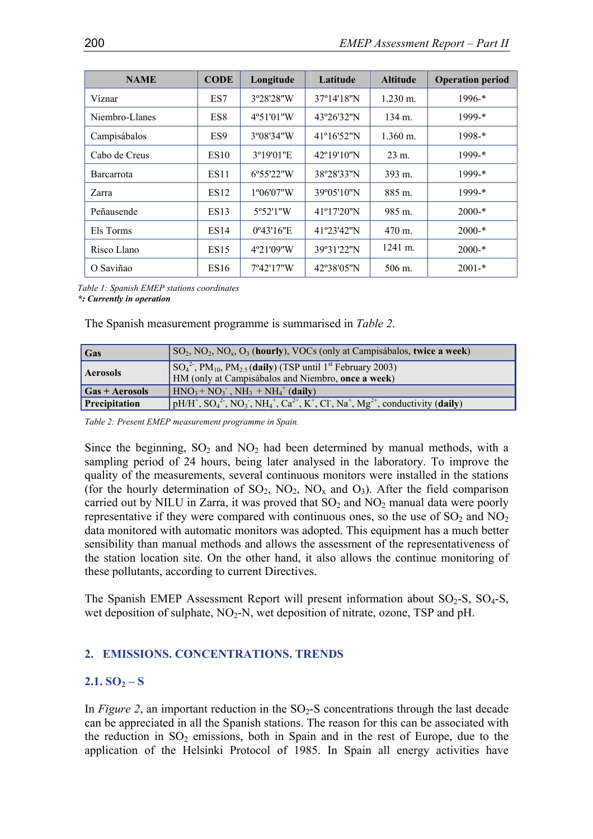| <b>NAME</b>       | <b>CODE</b>     | Longitude           | Latitude             | <b>Altitude</b>     | <b>Operation period</b> |
|-------------------|-----------------|---------------------|----------------------|---------------------|-------------------------|
| Víznar            | ES7             | 3°28'28"W           | 37°14'18"N           | $1.230 \text{ m}$ . | $1996-*$                |
| Niembro-Llanes    | ES8             | 4°51'01"W           | 43°26'32"N           | $134 \; \text{m}$ . | $1999 -$ *              |
| Campisábalos      | ES <sub>9</sub> | 3°08'34"W           | $41^{\circ}16'52''N$ | $1.360 \text{ m}$ . | $1998 -$ *              |
| Cabo de Creus     | ES10            | 3°19'01"E           | 42°19'10"N           | $23 \text{ m}$ .    | $1999 -$ *              |
| <b>Barcarrota</b> | ES11            | $6^{\circ}55'22''W$ | 38°28'33"N           | $393 \; \text{m}$ . | $1999 -$ *              |
| Zarra             | ES12            | $1^{\circ}06'07''W$ | 39°05'10"N           | 885 m.              | $1999 -$ *              |
| Peñausende        | <b>ES13</b>     | $5^{\circ}52'1''W$  | 41°17'20"N           | $985 \; \text{m}$ . | $2000-*$                |
| Els Torms         | ES14            | $0^{\circ}43'16''E$ | 41°23'42"N           | $470 \; \text{m}$ . | $2000-*$                |
| Risco Llano       | <b>ES15</b>     | 4°21'09"W           | 39°31'22"N           | $1241 \text{ m}$ .  | $2000-*$                |
| O Saviñao         | <b>ES16</b>     | 7°42'17"W           | 42°38'05"N           | $506 \; \text{m}$ . | $2001 -$ *              |

*Table 1: Spanish EMEP stations coordinates* 

*\*: Currently in operation* 

The Spanish measurement programme is summarised in *Table 2*.

| $\overline{\text{Gas}}$            | $SO_2$ , NO <sub>2</sub> , NO <sub>x</sub> , O <sub>3</sub> (hourly), VOCs (only at Campisábalos, twice a week)                                                    |
|------------------------------------|--------------------------------------------------------------------------------------------------------------------------------------------------------------------|
| <b>Aerosols</b>                    | $\left[ SO_{4}^{2}$ , PM <sub>10</sub> , PM <sub>2.5</sub> (daily) (TSP until 1 <sup>st</sup> February 2003)<br>HM (only at Campisábalos and Niembro, once a week) |
| $\overline{Gas + \text{Aerosols}}$ | $HNO3 + NO3$ , NH <sub>3</sub> + NH <sub>4</sub> <sup>+</sup> (daily)                                                                                              |
| <b>Precipitation</b>               | $\sqrt{pH/H^+}$ , $SO_4^2$ , $NO_3$ , $NH_4^+$ , $Ca^{2+}$ , $K^+$ , $Cl$ , $Na^+$ , $Mg^{2+}$ , conductivity (daily)                                              |

*Table 2: Present EMEP measurement programme in Spain.*

Since the beginning,  $SO_2$  and  $NO_2$  had been determined by manual methods, with a sampling period of 24 hours, being later analysed in the laboratory. To improve the quality of the measurements, several continuous monitors were installed in the stations (for the hourly determination of  $SO_2$ ,  $NO_2$ ,  $NO_x$  and  $O_3$ ). After the field comparison carried out by NILU in Zarra, it was proved that  $SO_2$  and  $NO_2$  manual data were poorly representative if they were compared with continuous ones, so the use of  $SO_2$  and  $NO_2$ data monitored with automatic monitors was adopted. This equipment has a much better sensibility than manual methods and allows the assessment of the representativeness of the station location site. On the other hand, it also allows the continue monitoring of these pollutants, according to current Directives.

The Spanish EMEP Assessment Report will present information about  $SO_2$ -S,  $SO_4$ -S, wet deposition of sulphate,  $NO<sub>2</sub>-N$ , wet deposition of nitrate, ozone, TSP and pH.

#### **2. EMISSIONS. CONCENTRATIONS. TRENDS**

#### $2.1. SQ_2 - S$

In *Figure 2*, an important reduction in the  $SO<sub>2</sub>-S$  concentrations through the last decade can be appreciated in all the Spanish stations. The reason for this can be associated with the reduction in  $SO_2$  emissions, both in Spain and in the rest of Europe, due to the application of the Helsinki Protocol of 1985. In Spain all energy activities have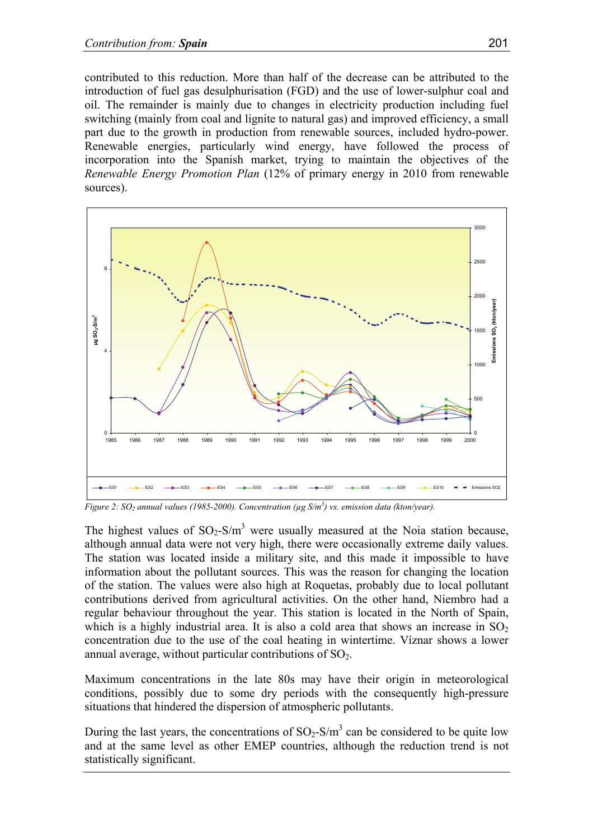contributed to this reduction. More than half of the decrease can be attributed to the introduction of fuel gas desulphurisation (FGD) and the use of lower-sulphur coal and oil. The remainder is mainly due to changes in electricity production including fuel switching (mainly from coal and lignite to natural gas) and improved efficiency, a small part due to the growth in production from renewable sources, included hydro-power. Renewable energies, particularly wind energy, have followed the process of incorporation into the Spanish market, trying to maintain the objectives of the *Renewable Energy Promotion Plan* (12% of primary energy in 2010 from renewable sources).



*Figure 2:*  $SO_2$  annual values (1985-2000). Concentration ( $\mu$ g S/m<sup>3</sup>) vs. emission data (kton/year).

The highest values of  $SO_2-S/m^3$  were usually measured at the Noia station because, although annual data were not very high, there were occasionally extreme daily values. The station was located inside a military site, and this made it impossible to have information about the pollutant sources. This was the reason for changing the location of the station. The values were also high at Roquetas, probably due to local pollutant contributions derived from agricultural activities. On the other hand, Niembro had a regular behaviour throughout the year. This station is located in the North of Spain, which is a highly industrial area. It is also a cold area that shows an increase in  $SO<sub>2</sub>$ concentration due to the use of the coal heating in wintertime. Víznar shows a lower annual average, without particular contributions of  $SO<sub>2</sub>$ .

Maximum concentrations in the late 80s may have their origin in meteorological conditions, possibly due to some dry periods with the consequently high-pressure situations that hindered the dispersion of atmospheric pollutants.

During the last years, the concentrations of  $SO_2$ -S/m<sup>3</sup> can be considered to be quite low and at the same level as other EMEP countries, although the reduction trend is not statistically significant.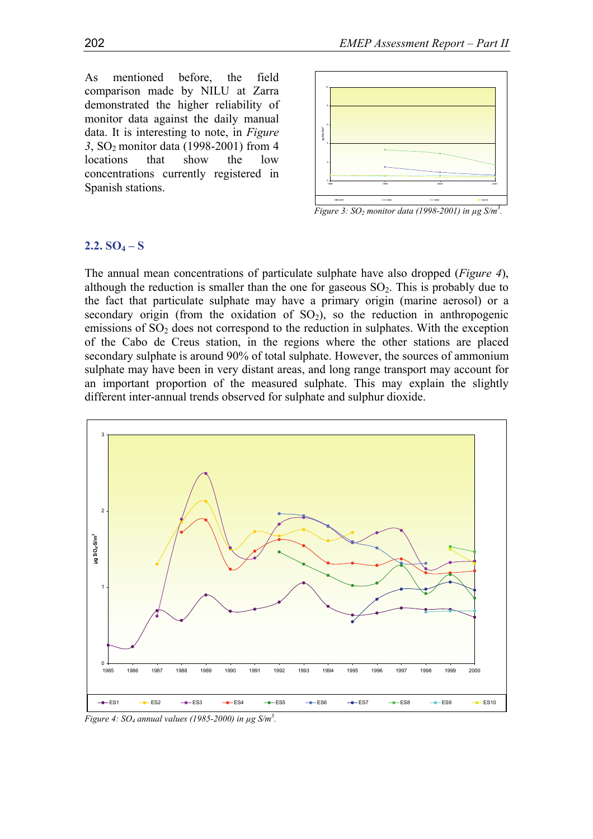As mentioned before, the field comparison made by NILU at Zarra demonstrated the higher reliability of monitor data against the daily manual data. It is interesting to note, in *Figure 3*, SO2 monitor data (1998-2001) from 4 locations that show the low concentrations currently registered in Spanish stations.



*Figure 3: SO<sub>2</sub> monitor data (1998-2001) in*  $\mu$ *g S/m<sup>3</sup>.* 

### $2.2. SQ_4 - S$

The annual mean concentrations of particulate sulphate have also dropped (*Figure 4*), although the reduction is smaller than the one for gaseous  $SO<sub>2</sub>$ . This is probably due to the fact that particulate sulphate may have a primary origin (marine aerosol) or a secondary origin (from the oxidation of  $SO<sub>2</sub>$ ), so the reduction in anthropogenic emissions of  $SO<sub>2</sub>$  does not correspond to the reduction in sulphates. With the exception of the Cabo de Creus station, in the regions where the other stations are placed secondary sulphate is around 90% of total sulphate. However, the sources of ammonium sulphate may have been in very distant areas, and long range transport may account for an important proportion of the measured sulphate. This may explain the slightly different inter-annual trends observed for sulphate and sulphur dioxide.



*Figure 4: SO4 annual values (1985-2000) in µg S/m3 .*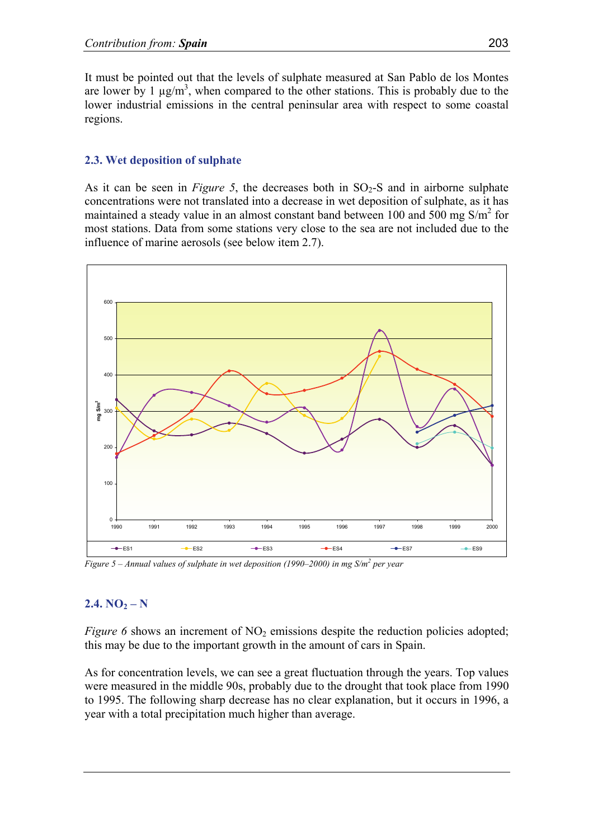It must be pointed out that the levels of sulphate measured at San Pablo de los Montes are lower by 1  $\mu$ g/m<sup>3</sup>, when compared to the other stations. This is probably due to the lower industrial emissions in the central peninsular area with respect to some coastal regions.

## **2.3. Wet deposition of sulphate**

As it can be seen in *Figure 5*, the decreases both in  $SO_2$ -S and in airborne sulphate concentrations were not translated into a decrease in wet deposition of sulphate, as it has maintained a steady value in an almost constant band between 100 and  $500 \text{ mg S/m}^2$  for most stations. Data from some stations very close to the sea are not included due to the influence of marine aerosols (see below item 2.7).



*Figure 5 – Annual values of sulphate in wet deposition (1990–2000) in mg S/m<sup>2</sup> per year* 

## $2.4. NO<sub>2</sub> - N$

*Figure 6* shows an increment of  $NO<sub>2</sub>$  emissions despite the reduction policies adopted; this may be due to the important growth in the amount of cars in Spain.

As for concentration levels, we can see a great fluctuation through the years. Top values were measured in the middle 90s, probably due to the drought that took place from 1990 to 1995. The following sharp decrease has no clear explanation, but it occurs in 1996, a year with a total precipitation much higher than average.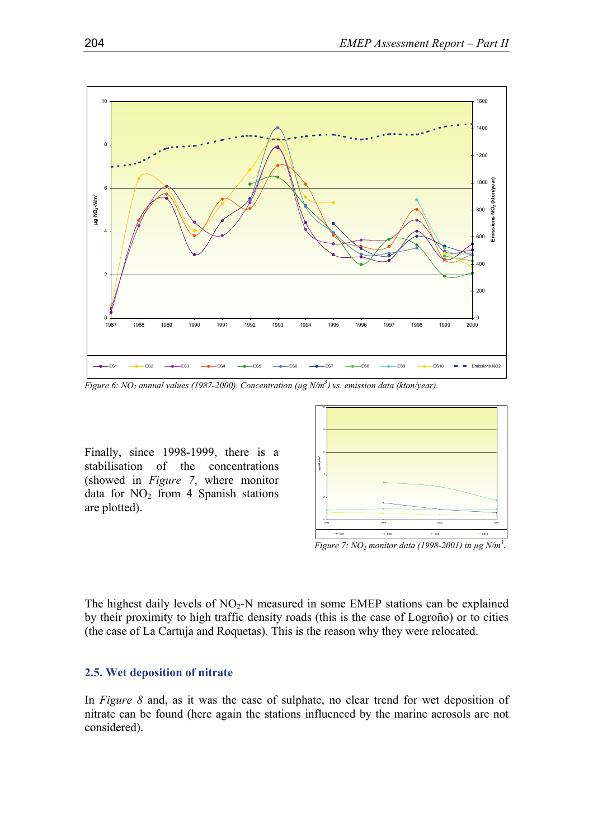

*Figure 6: NO<sub>2</sub> annual values (1987-2000). Concentration (* $\mu$ *g N/m<sup>3</sup>) vs. emission data (kton/year).* 

Finally, since 1998-1999, there is a stabilisation of the concentrations (showed in *Figure 7*, where monitor data for  $NO<sub>2</sub>$  from 4 Spanish stations are plotted).



*Figure 7:*  $NO<sub>2</sub>$  monitor data (1998-2001) in  $\mu$ g  $N/m<sup>3</sup>$ .

The highest daily levels of  $NO<sub>2</sub>-N$  measured in some EMEP stations can be explained by their proximity to high traffic density roads (this is the case of Logroño) or to cities (the case of La Cartuja and Roquetas). This is the reason why they were relocated.

#### **2.5. Wet deposition of nitrate**

In *Figure 8* and, as it was the case of sulphate, no clear trend for wet deposition of nitrate can be found (here again the stations influenced by the marine aerosols are not considered).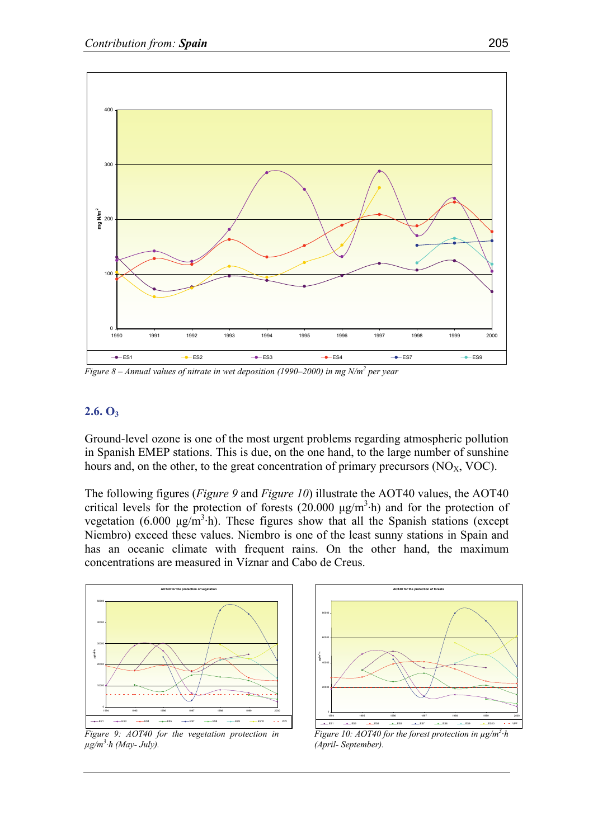

*Figure 8 – Annual values of nitrate in wet deposition (1990–2000) in mg N/m2 per year* 

### **2.6. O3**

Ground-level ozone is one of the most urgent problems regarding atmospheric pollution in Spanish EMEP stations. This is due, on the one hand, to the large number of sunshine hours and, on the other, to the great concentration of primary precursors  $(NO<sub>X</sub>, VOC)$ .

The following figures (*Figure 9* and *Figure 10*) illustrate the AOT40 values, the AOT40 critical levels for the protection of forests  $(20.000 \mu g/m<sup>3</sup> \cdot h)$  and for the protection of vegetation  $(6.000 \text{ µg/m}^3 \cdot h)$ . These figures show that all the Spanish stations (except Niembro) exceed these values. Niembro is one of the least sunny stations in Spain and has an oceanic climate with frequent rains. On the other hand, the maximum concentrations are measured in Víznar and Cabo de Creus.



*Figure 9: AOT40 for the vegetation protection in µg/m3 ·h (May- July).* 



*Figure 10: AOT40 for the forest protection in µg/m3 ·h (April- September).*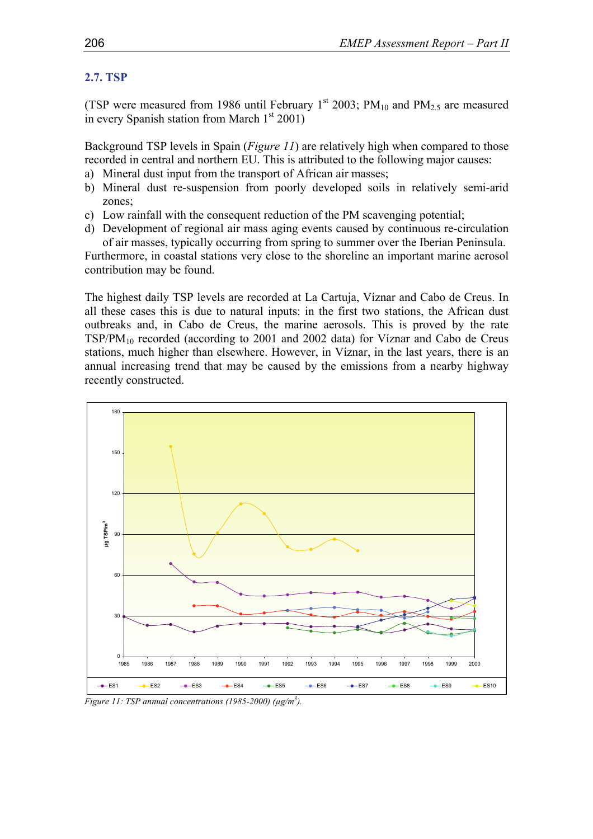### **2.7. TSP**

(TSP were measured from 1986 until February  $1^{st}$  2003; PM<sub>10</sub> and PM<sub>2.5</sub> are measured in every Spanish station from March  $1<sup>st</sup> 2001$ )

Background TSP levels in Spain (*Figure 11*) are relatively high when compared to those recorded in central and northern EU. This is attributed to the following major causes:

- a) Mineral dust input from the transport of African air masses;
- b) Mineral dust re-suspension from poorly developed soils in relatively semi-arid zones;
- c) Low rainfall with the consequent reduction of the PM scavenging potential;
- d) Development of regional air mass aging events caused by continuous re-circulation of air masses, typically occurring from spring to summer over the Iberian Peninsula.

Furthermore, in coastal stations very close to the shoreline an important marine aerosol contribution may be found.

The highest daily TSP levels are recorded at La Cartuja, Víznar and Cabo de Creus. In all these cases this is due to natural inputs: in the first two stations, the African dust outbreaks and, in Cabo de Creus, the marine aerosols. This is proved by the rate TSP/PM10 recorded (according to 2001 and 2002 data) for Víznar and Cabo de Creus stations, much higher than elsewhere. However, in Víznar, in the last years, there is an annual increasing trend that may be caused by the emissions from a nearby highway recently constructed.



*Figure 11: TSP annual concentrations (1985-2000) (* $\mu$ *g/m<sup>3</sup>).*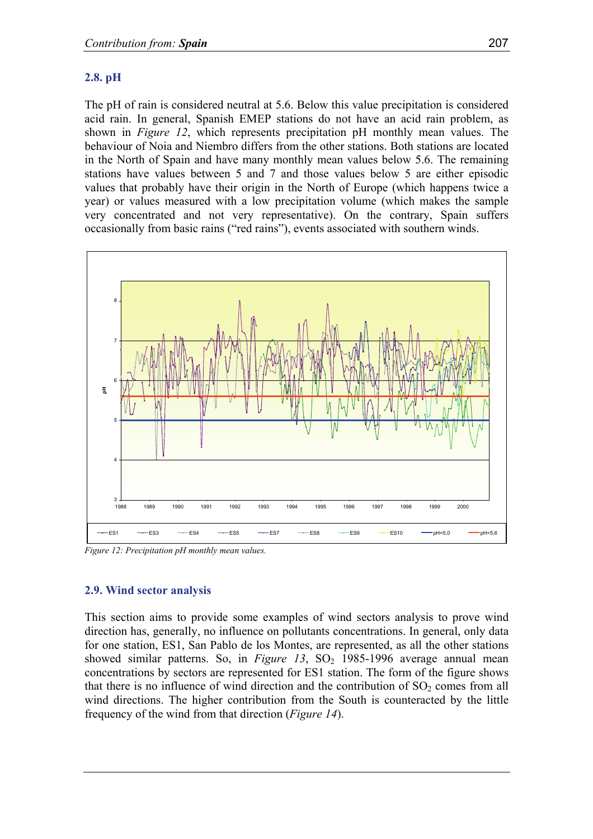## **2.8. pH**

The pH of rain is considered neutral at 5.6. Below this value precipitation is considered acid rain. In general, Spanish EMEP stations do not have an acid rain problem, as shown in *Figure 12*, which represents precipitation pH monthly mean values. The behaviour of Noia and Niembro differs from the other stations. Both stations are located in the North of Spain and have many monthly mean values below 5.6. The remaining stations have values between 5 and 7 and those values below 5 are either episodic values that probably have their origin in the North of Europe (which happens twice a year) or values measured with a low precipitation volume (which makes the sample very concentrated and not very representative). On the contrary, Spain suffers occasionally from basic rains ("red rains"), events associated with southern winds.



*Figure 12: Precipitation pH monthly mean values.* 

## **2.9. Wind sector analysis**

This section aims to provide some examples of wind sectors analysis to prove wind direction has, generally, no influence on pollutants concentrations. In general, only data for one station, ES1, San Pablo de los Montes, are represented, as all the other stations showed similar patterns. So, in *Figure 13*,  $SO<sub>2</sub>$  1985-1996 average annual mean concentrations by sectors are represented for ES1 station. The form of the figure shows that there is no influence of wind direction and the contribution of  $SO<sub>2</sub>$  comes from all wind directions. The higher contribution from the South is counteracted by the little frequency of the wind from that direction (*Figure 14*).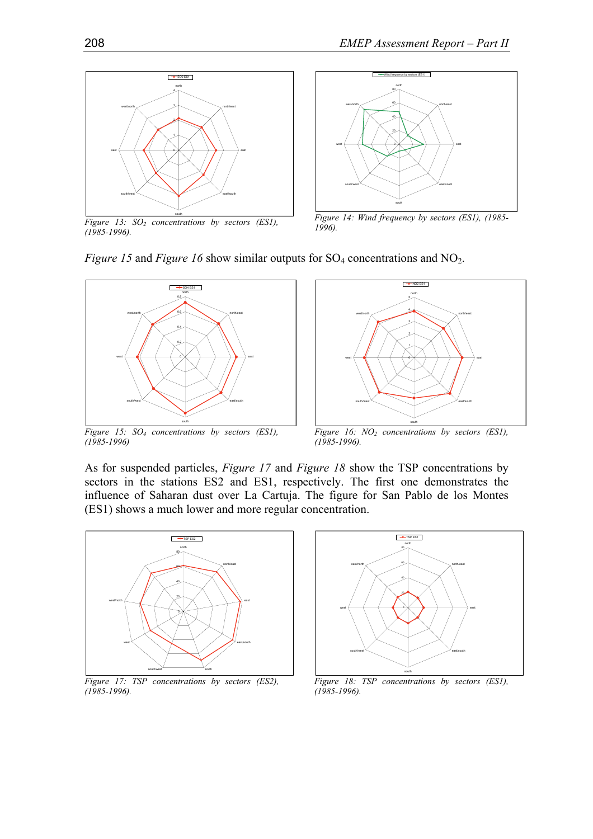

*Figure 13:*  $SO<sub>2</sub>$  concentrations by sectors (ES1), *(1985-1996).*



*Figure 14: Wind frequency by sectors (ES1), (1985- 1996).*





*Figure 15: SO4 concentrations by sectors (ES1), (1985-1996)*



*Figure 16: NO<sub>2</sub> concentrations by sectors (ES1), (1985-1996).*

As for suspended particles, *Figure 17* and *Figure 18* show the TSP concentrations by sectors in the stations ES2 and ES1, respectively. The first one demonstrates the influence of Saharan dust over La Cartuja. The figure for San Pablo de los Montes (ES1) shows a much lower and more regular concentration.



*Figure 17: TSP concentrations by sectors (ES2), (1985-1996).* 



*Figure 18: TSP concentrations by sectors (ES1), (1985-1996).*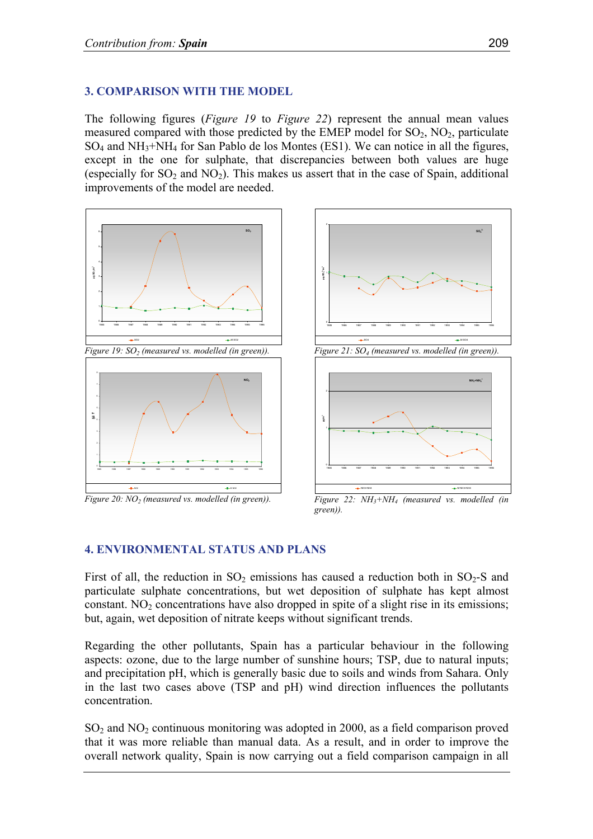### **3. COMPARISON WITH THE MODEL**

The following figures (*Figure 19* to *Figure 22*) represent the annual mean values measured compared with those predicted by the EMEP model for  $SO_2$ ,  $NO_2$ , particulate SO4 and NH3+NH4 for San Pablo de los Montes (ES1). We can notice in all the figures, except in the one for sulphate, that discrepancies between both values are huge (especially for  $SO_2$  and  $NO_2$ ). This makes us assert that in the case of Spain, additional improvements of the model are needed.



*Figure 20: NO<sub>2</sub> (measured vs. modelled (in green)).* 



*Figure 22: NH3+NH4 (measured vs. modelled (in green)).* 

### **4. ENVIRONMENTAL STATUS AND PLANS**

First of all, the reduction in  $SO_2$  emissions has caused a reduction both in  $SO_2$ -S and particulate sulphate concentrations, but wet deposition of sulphate has kept almost constant.  $NO<sub>2</sub>$  concentrations have also dropped in spite of a slight rise in its emissions; but, again, wet deposition of nitrate keeps without significant trends.

Regarding the other pollutants, Spain has a particular behaviour in the following aspects: ozone, due to the large number of sunshine hours; TSP, due to natural inputs; and precipitation pH, which is generally basic due to soils and winds from Sahara. Only in the last two cases above (TSP and pH) wind direction influences the pollutants concentration.

 $SO<sub>2</sub>$  and  $NO<sub>2</sub>$  continuous monitoring was adopted in 2000, as a field comparison proved that it was more reliable than manual data. As a result, and in order to improve the overall network quality, Spain is now carrying out a field comparison campaign in all